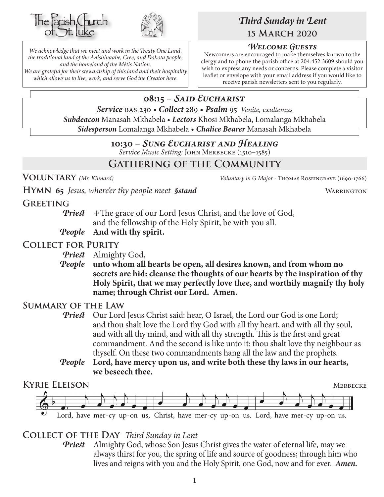



*We acknowledge that we meet and work in the Treaty One Land, the traditional land of the Anishinaabe, Cree, and Dakota people, and the homeland of the Métis Nation. We are grateful for their stewardship of this land and their hospitality which allows us to live, work, and serve God the Creator here.*

# *Third Sunday in Lent* **15 March 2020**

# *Welcome Guests*

Newcomers are encouraged to make themselves known to the clergy and to phone the parish office at 204.452.3609 should you wish to express any needs or concerns. Please complete a visitor leaflet or envelope with your email address if you would like to receive parish newsletters sent to you regularly.

# **08:15 –** *Said Eucharist*

*Service* bas 230 • *Collect* 289 • *Psalm* 95 *Venite, exultemus Subdeacon* Manasah Mkhabela • *Lectors* Khosi Mkhabela, Lomalanga Mkhabela *Sidesperson* Lomalanga Mkhabela • *Chalice Bearer* Manasah Mkhabela

# **10:30 –** *Sung Eucharist and Healing*

*Service Music Setting:* John Merbecke (1510–1585)

# **Gathering of the Community**

**Voluntary** *(Mr. Kinnard) Voluntary in G Major -* Thomas Roseingrave (1690-1766)

**HYMN** 65 *Jesus, where'er thy people meet §stand* WARRINGTON

# **Greeting**

**Priest**  $\pm$ The grace of our Lord Jesus Christ, and the love of God, and the fellowship of the Holy Spirit, be with you all.

*People* **And with thy spirit.**

# **Collect for Purity**

*Priest* Almighty God,

*People* **unto whom all hearts be open, all desires known, and from whom no secrets are hid: cleanse the thoughts of our hearts by the inspiration of thy Holy Spirit, that we may perfectly love thee, and worthily magnify thy holy name; through Christ our Lord. Amen.**

# **Summary of the Law**

- **Priest** Our Lord Jesus Christ said: hear, O Israel, the Lord our God is one Lord; and thou shalt love the Lord thy God with all thy heart, and with all thy soul, and with all thy mind, and with all thy strength. This is the first and great commandment. And the second is like unto it: thou shalt love thy neighbour as thyself. On these two commandments hang all the law and the prophets.
- *People* **Lord, have mercy upon us, and write both these thy laws in our hearts, we beseech thee.**



# **Collect of the Day** *Third Sunday in Lent*

*Priest* Almighty God, whose Son Jesus Christ gives the water of eternal life, may we always thirst for you, the spring of life and source of goodness; through him who lives and reigns with you and the Holy Spirit, one God, now and for ever.*Amen.*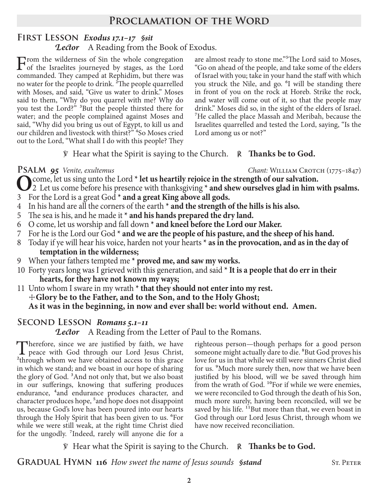# **Proclamation of the Word**

## **First Lesson** *Exodus 17.1–17 §sit Lector* A Reading from the Book of Exodus.

From the wilderness of Sin the whole congregation<br>
of the Israelites journeyed by stages, as the Lord<br>
commanded They seminal at Bankidim, but there we commanded. They camped at Rephidim, but there was no water for the people to drink. 2The people quarrelled with Moses, and said, "Give us water to drink." Moses said to them, "Why do you quarrel with me? Why do you test the Lord?" 3But the people thirsted there for water; and the people complained against Moses and said, "Why did you bring us out of Egypt, to kill us and our children and livestock with thirst?" <sup>4</sup>So Moses cried out to the Lord, "What shall I do with this people? They

are almost ready to stone me."5The Lord said to Moses, "Go on ahead of the people, and take some of the elders of Israel with you; take in your hand the staff with which you struck the Nile, and go. <sup>6</sup>I will be standing there in front of you on the rock at Horeb. Strike the rock, and water will come out of it, so that the people may drink." Moses did so, in the sight of the elders of Israel. 7He called the place Massah and Meribah, because the Israelites quarrelled and tested the Lord, saying, "Is the Lord among us or not?"

℣ Hear what the Spirit is saying to the Church. ℟ **Thanks be to God.**

**PSALM 95** *Venite, exultemus Chant: WILLIAM CROTCH (1775–1847)* 

- O<sub>2</sub> Let us sing unto the Lord **\* let us heartily rejoice in the strength of our salvation.**<br>
2 Let us come before his presence with thanksgiving **\* and shew ourselves glad in him with psalms.**
- 3 For the Lord is a great God **\* and a great King above all gods.**
- 4 In his hand are all the corners of the earth **\* and the strength of the hills is his also.**
- 5 The sea is his, and he made it **\* and his hands prepared the dry land.**
- 6 O come, let us worship and fall down **\* and kneel before the Lord our Maker.**
- 7 For he is the Lord our God **\* and we are the people of his pasture, and the sheep of his hand.**
- 8 Today if ye will hear his voice, harden not your hearts **\* as in the provocation, and as in the day of temptation in the wilderness;**
- 9 When your fathers tempted me **\* proved me, and saw my works.**
- 10 Forty years long was I grieved with this generation, and said **\* It is a people that do err in their hearts, for they have not known my ways;**
- 11 Unto whom I sware in my wrath **\* that they should not enter into my rest.** ☩**Glory be to the Father, and to the Son, and to the Holy Ghost; As it was in the beginning, in now and ever shall be: world without end. Amen.**

# **Second Lesson** *Romans 5.1–11*

*Lector* A Reading from the Letter of Paul to the Romans.

Therefore, since we are justified by faith, we have **L** peace with God through our Lord Jesus Christ, <sup>2</sup>through whom we have obtained access to this grace in which we stand; and we boast in our hope of sharing the glory of God. 3And not only that, but we also boast in our sufferings, knowing that suffering produces endurance, <sup>4</sup>and endurance produces character, and character produces hope, 5and hope does not disappoint us, because God's love has been poured into our hearts through the Holy Spirit that has been given to us. <sup>6</sup>For while we were still weak, at the right time Christ died for the ungodly. 7Indeed, rarely will anyone die for a

righteous person—though perhaps for a good person someone might actually dare to die. <sup>8</sup>But God proves his love for us in that while we still were sinners Christ died for us. <sup>9</sup>Much more surely then, now that we have been justified by his blood, will we be saved through him from the wrath of God. <sup>10</sup>For if while we were enemies, we were reconciled to God through the death of his Son, much more surely, having been reconciled, will we be saved by his life. <sup>11</sup>But more than that, we even boast in God through our Lord Jesus Christ, through whom we have now received reconciliation.

℣ Hear what the Spirit is saying to the Church. ℟ **Thanks be to God.**

**GRADUAL HYMN 116** *How sweet the name of Jesus sounds Sstand* ST. PETER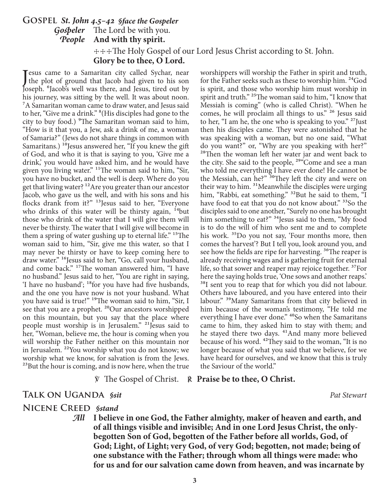# **Gospel** *St. John 4.5–42 §face the Gospeler Gospeler* The Lord be with you. *People* **And with thy spirit.** ☩☩☩The Holy Gospel of our Lord Jesus Christ according to St. John. **Glory be to thee, O Lord.**

Jesus came to a Samaritan city called Sychar, near<br>the plot of ground that Jacob had given to his son<br>locally flash's well was there and Jacob tired out by the plot of ground that Jacob had given to his son Joseph. <sup>6</sup>Jacob's well was there, and Jesus, tired out by his journey, was sitting by the well. It was about noon. <sup>7</sup>A Samaritan woman came to draw water, and Jesus said to her, "Give me a drink." 8(His disciples had gone to the city to buy food.) <sup>9</sup>The Samaritan woman said to him, "How is it that you, a Jew, ask a drink of me, a woman of Samaria?" (Jews do not share things in common with Samaritans.)  $^{10}$  Jesus answered her, "If you knew the gift of God, and who it is that is saying to you, 'Give me a drink,' you would have asked him, and he would have given you living water." 11The woman said to him, "Sir, you have no bucket, and the well is deep. Where do you get that living water? <sup>12</sup> Are you greater than our ancestor Jacob, who gave us the well, and with his sons and his flocks drank from it?" 13Jesus said to her, "Everyone who drinks of this water will be thirsty again,  $14$ but those who drink of the water that I will give them will never be thirsty. The water that I will give will become in them a spring of water gushing up to eternal life." <sup>15</sup>The woman said to him, "Sir, give me this water, so that I may never be thirsty or have to keep coming here to draw water." <sup>16</sup>Jesus said to her, "Go, call your husband, and come back." 17The woman answered him, "I have no husband." Jesus said to her, "You are right in saying, 'I have no husband'; 18for you have had five husbands, and the one you have now is not your husband. What you have said is true!" <sup>19</sup>The woman said to him, "Sir, I see that you are a prophet. <sup>20</sup>Our ancestors worshipped on this mountain, but you say that the place where people must worship is in Jerusalem." <sup>21</sup> Jesus said to her, "Woman, believe me, the hour is coming when you will worship the Father neither on this mountain nor in Jerusalem. 22You worship what you do not know; we worship what we know, for salvation is from the Jews. <sup>23</sup>But the hour is coming, and is now here, when the true

worshippers will worship the Father in spirit and truth, for the Father seeks such as these to worship him. <sup>24</sup>God is spirit, and those who worship him must worship in spirit and truth." <sup>25</sup>The woman said to him, "I know that Messiah is coming" (who is called Christ). "When he comes, he will proclaim all things to us." 26 Jesus said to her, "I am he, the one who is speaking to you."  $27$  Just then his disciples came. They were astonished that he was speaking with a woman, but no one said, "What do you want?" or, "Why are you speaking with her?" <sup>28</sup>Then the woman left her water jar and went back to the city. She said to the people, <sup>29"</sup>Come and see a man who told me everything I have ever done! He cannot be the Messiah, can he?" <sup>30</sup>They left the city and were on their way to him. <sup>31</sup>Meanwhile the disciples were urging him, "Rabbi, eat something." <sup>32</sup>But he said to them, "I have food to eat that you do not know about." <sup>33</sup>So the disciples said to one another, "Surely no one has brought him something to eat?" <sup>34</sup>Jesus said to them, "My food is to do the will of him who sent me and to complete his work. 35Do you not say, 'Four months more, then comes the harvest'? But I tell you, look around you, and see how the fields are ripe for harvesting. <sup>36</sup>The reaper is already receiving wages and is gathering fruit for eternal life, so that sower and reaper may rejoice together.<sup>37</sup>For here the saying holds true, 'One sows and another reaps.' <sup>38</sup>I sent you to reap that for which you did not labour. Others have laboured, and you have entered into their labour." 39Many Samaritans from that city believed in him because of the woman's testimony, "He told me everything I have ever done." <sup>40</sup>So when the Samaritans came to him, they asked him to stay with them; and he stayed there two days. <sup>41</sup>And many more believed because of his word. 42They said to the woman, "It is no longer because of what you said that we believe, for we have heard for ourselves, and we know that this is truly the Saviour of the world."

## ℣ The Gospel of Christ. ℟ **Praise be to thee, O Christ.**

# **TALK ON UGANDA** *§sit Pat Stewart*

# **Nicene Creed** *§stand*

*All* **I believe in one God, the Father almighty, maker of heaven and earth, and of all things visible and invisible; And in one Lord Jesus Christ, the onlybegotten Son of God, begotten of the Father before all worlds, God, of God; Light, of Light; very God, of very God; begotten, not made; being of one substance with the Father; through whom all things were made: who for us and for our salvation came down from heaven, and was incarnate by**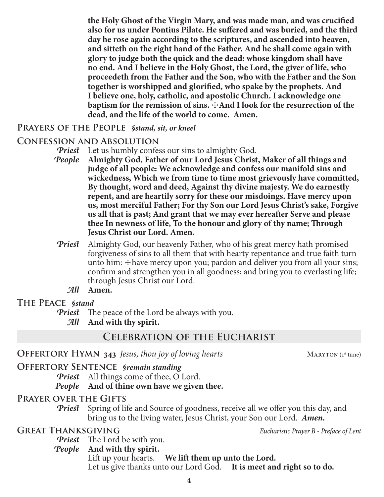**proceedeth from the Father and the Son, who with the Father and the Son together is worshipped and glorified, who spake by the prophets. And I believe one, holy, catholic, and apostolic Church. I acknowledge one baptism for the remission of sins.**  $\pm$ **And I look for the resurrection of the dead, and the life of the world to come. Amen. Prayers of the People** *§stand, sit, or kneel* **Confession and Absolution** *Priest* Let us humbly confess our sins to almighty God. *People* **Almighty God, Father of our Lord Jesus Christ, Maker of all things and judge of all people: We acknowledge and confess our manifold sins and wickedness, Which we from time to time most grievously have committed, By thought, word and deed, Against thy divine majesty. We do earnestly** 

**the Holy Ghost of the Virgin Mary, and was made man, and was crucified also for us under Pontius Pilate. He suffered and was buried, and the third day he rose again according to the scriptures, and ascended into heaven, and sitteth on the right hand of the Father. And he shall come again with glory to judge both the quick and the dead: whose kingdom shall have no end. And I believe in the Holy Ghost, the Lord, the giver of life, who** 

**repent, and are heartily sorry for these our misdoings. Have mercy upon us, most merciful Father; For thy Son our Lord Jesus Christ's sake, Forgive us all that is past; And grant that we may ever hereafter Serve and please thee In newness of life, To the honour and glory of thy name; Through Jesus Christ our Lord. Amen.**

- *Priest* Almighty God, our heavenly Father, who of his great mercy hath promised forgiveness of sins to all them that with hearty repentance and true faith turn unto him:  $\pm$  have mercy upon you; pardon and deliver you from all your sins; confirm and strengthen you in all goodness; and bring you to everlasting life; through Jesus Christ our Lord.
	- *All* **Amen.**
- **The Peace** *§stand*

*Priest* The peace of the Lord be always with you.

*All* **And with thy spirit.**

# **Celebration of the Eucharist**

**OFFERTORY HYMN** 343 *Jesus, thou joy of loving hearts* MARYTON (1st tune)

# **Offertory Sentence** *§remain standing*

*Priest* All things come of thee, O Lord.

# *People* **And of thine own have we given thee.**

# **Prayer over the Gifts**

**Priest** Spring of life and Source of goodness, receive all we offer you this day, and bring us to the living water, Jesus Christ, your Son our Lord. *Amen.*

**Great Thanksgiving** *Eucharistic Prayer B - Preface of Lent*

*Priest* The Lord be with you.

*People* **And with thy spirit.**

Lift up your hearts. **We lift them up unto the Lord.** Let us give thanks unto our Lord God. **It is meet and right so to do.**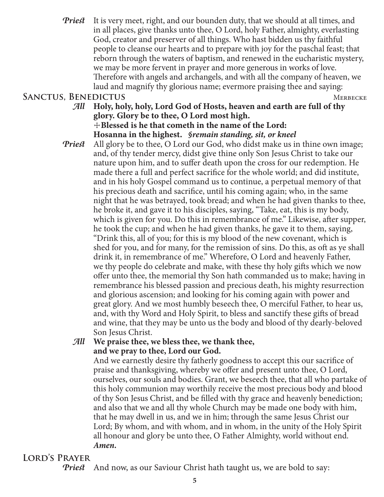*Priest* It is very meet, right, and our bounden duty, that we should at all times, and in all places, give thanks unto thee, O Lord, holy Father, almighty, everlasting God, creator and preserver of all things. Who hast bidden us thy faithful people to cleanse our hearts and to prepare with joy for the paschal feast; that reborn through the waters of baptism, and renewed in the eucharistic mystery, we may be more fervent in prayer and more generous in works of love. Therefore with angels and archangels, and with all the company of heaven, we laud and magnify thy glorious name; evermore praising thee and saying:

# SANCTUS, BENEDICTUS MERBECKE

- *All* **Holy, holy, holy, Lord God of Hosts, heaven and earth are full of thy glory. Glory be to thee, O Lord most high.** ☩**Blessed is he that cometh in the name of the Lord: Hosanna in the highest.** *§remain standing, sit, or kneel*
- *Priest* All glory be to thee, O Lord our God, who didst make us in thine own image; and, of thy tender mercy, didst give thine only Son Jesus Christ to take our nature upon him, and to suffer death upon the cross for our redemption. He made there a full and perfect sacrifice for the whole world; and did institute, and in his holy Gospel command us to continue, a perpetual memory of that his precious death and sacrifice, until his coming again; who, in the same night that he was betrayed, took bread; and when he had given thanks to thee, he broke it, and gave it to his disciples, saying, "Take, eat, this is my body, which is given for you. Do this in remembrance of me." Likewise, after supper, he took the cup; and when he had given thanks, he gave it to them, saying, "Drink this, all of you; for this is my blood of the new covenant, which is shed for you, and for many, for the remission of sins. Do this, as oft as ye shall drink it, in remembrance of me." Wherefore, O Lord and heavenly Father, we thy people do celebrate and make, with these thy holy gifts which we now offer unto thee, the memorial thy Son hath commanded us to make; having in remembrance his blessed passion and precious death, his mighty resurrection and glorious ascension; and looking for his coming again with power and great glory. And we most humbly beseech thee, O merciful Father, to hear us, and, with thy Word and Holy Spirit, to bless and sanctify these gifts of bread and wine, that they may be unto us the body and blood of thy dearly-beloved Son Jesus Christ.

# *All* **We praise thee, we bless thee, we thank thee, and we pray to thee, Lord our God.**

 And we earnestly desire thy fatherly goodness to accept this our sacrifice of praise and thanksgiving, whereby we offer and present unto thee, O Lord, ourselves, our souls and bodies. Grant, we beseech thee, that all who partake of this holy communion may worthily receive the most precious body and blood of thy Son Jesus Christ, and be filled with thy grace and heavenly benediction; and also that we and all thy whole Church may be made one body with him, that he may dwell in us, and we in him; through the same Jesus Christ our Lord; By whom, and with whom, and in whom, in the unity of the Holy Spirit all honour and glory be unto thee, O Father Almighty, world without end. *Amen.*

# **Lord's Prayer**

*Priest* And now, as our Saviour Christ hath taught us, we are bold to say: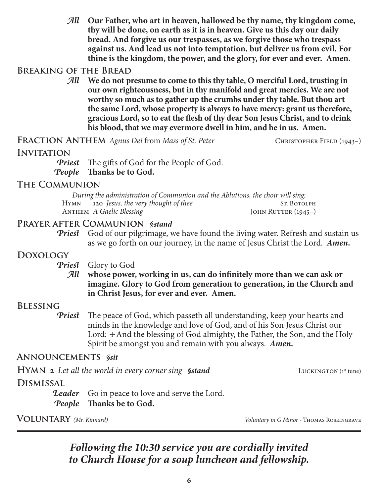*All* **Our Father, who art in heaven, hallowed be thy name, thy kingdom come, thy will be done, on earth as it is in heaven. Give us this day our daily bread. And forgive us our trespasses, as we forgive those who trespass against us. And lead us not into temptation, but deliver us from evil. For thine is the kingdom, the power, and the glory, for ever and ever. Amen.**

# **Breaking of the Bread**

*All* **We do not presume to come to this thy table, O merciful Lord, trusting in our own righteousness, but in thy manifold and great mercies. We are not worthy so much as to gather up the crumbs under thy table. But thou art the same Lord, whose property is always to have mercy: grant us therefore, gracious Lord, so to eat the flesh of thy dear Son Jesus Christ, and to drink his blood, that we may evermore dwell in him, and he in us. Amen.**

**FRACTION ANTHEM** *Agnus Dei* from *Mass of St. Peter* CHRISTOPHER FIELD (1943–)

# **Invitation**

*Priest* The gifts of God for the People of God. *People* **Thanks be to God.**

## **The Communion**

*During the administration of Communion and the Ablutions, the choir will sing:* Hymn 120 *Jesus, the very thought of thee* ST. BOTOLPH<br>ANTHEM *A Gaelic Blessing* JOHN RUTTER (1945–) ANTHEM *A Gaelic Blessing* 

# **Prayer after Communion** *§stand*

*Priest* God of our pilgrimage, we have found the living water. Refresh and sustain us as we go forth on our journey, in the name of Jesus Christ the Lord. *Amen.*

# **Doxology**

*Priest* Glory to God

*All* **whose power, working in us, can do infinitely more than we can ask or imagine. Glory to God from generation to generation, in the Church and in Christ Jesus, for ever and ever. Amen.**

# **Blessing**

*Priest* The peace of God, which passeth all understanding, keep your hearts and minds in the knowledge and love of God, and of his Son Jesus Christ our Lord:  $\pm$ And the blessing of God almighty, the Father, the Son, and the Holy Spirit be amongst you and remain with you always. *Amen.*

## **Announcements** *§sit*

**HYMN** 2 Let all the world in every corner sing *§stand* LUCKINGTON (1st tune)

# **Dismissal**

**Leader** Go in peace to love and serve the Lord. *People* **Thanks be to God.**

**Voluntary** *(Mr. Kinnard) Voluntary in G Minor -* Thomas Roseingrave

# *Following the 10:30 service you are cordially invited to Church House for a soup luncheon and fellowship.*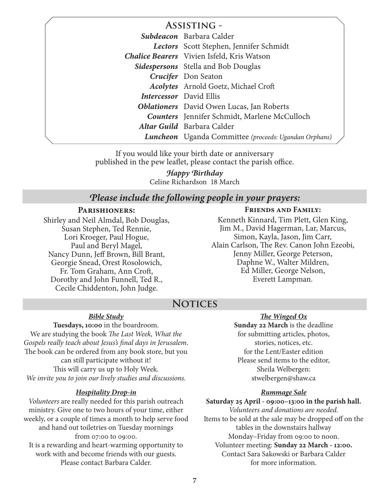| <b>ASSISTING -</b>                                    |
|-------------------------------------------------------|
| Subdeacon Barbara Calder                              |
| Lectors Scott Stephen, Jennifer Schmidt               |
| <b>Chalice Bearers</b> Vivien Isfeld, Kris Watson     |
| <b>Sidespersons</b> Stella and Bob Douglas            |
| <b>Crucifer</b> Don Seaton                            |
| <b>Acolytes</b> Arnold Goetz, Michael Croft           |
| <b>Intercessor</b> David Ellis                        |
| <b>Oblationers</b> David Owen Lucas, Jan Roberts      |
| <b>Counters</b> Jennifer Schmidt, Marlene McCulloch   |
| Altar Guild Barbara Calder                            |
| Luncheon Uganda Committee (proceeds: Ugandan Orphans) |
|                                                       |

If you would like your birth date or anniversary published in the pew leaflet, please contact the parish office.

> Celine Richardson 18 March *Happy Birthday*

## *Please include the following people in your prayers:*

### **Parishioners:**

Shirley and Neil Almdal, Bob Douglas, Susan Stephen, Ted Rennie, Lori Kroeger, Paul Hogue, Paul and Beryl Magel, Nancy Dunn, Jeff Brown, Bill Brant, Georgie Snead, Orest Rosolowich, Fr. Tom Graham, Ann Croft, Dorothy and John Funnell, Ted R., Cecile Chiddenton, John Judge.

#### **Friends and Family:**

Kenneth Kinnard, Tim Plett, Glen King, Jim M., David Hagerman, Lar, Marcus, Simon, Kayla, Jason, Jim Carr, Alain Carlson, The Rev. Canon John Ezeobi, Jenny Miller, George Peterson, Daphne W., Walter Mildren, Ed Miller, George Nelson, Everett Lampman.

# **Notices**

#### *Bible Study*

**Tuesdays, 10:00** in the boardroom. We are studying the book *The Last Week, What the Gospels really teach about Jesus's final days in Jerusalem*. The book can be ordered from any book store, but you can still participate without it! This will carry us up to Holy Week. *We invite you to join our lively studies and discussions.*

### *Hospitality Drop-in*

*Volunteers* are really needed for this parish outreach ministry. Give one to two hours of your time, either weekly, or a couple of times a month to help serve food and hand out toiletries on Tuesday mornings from 07:00 to 09:00. It is a rewarding and heart-warming opportunity to work with and become friends with our guests. Please contact Barbara Calder.

#### *The Winged Ox*

**Sunday 22 March** is the deadline for submitting articles, photos, stories, notices, etc. for the Lent/Easter edition Please send items to the editor, Sheila Welbergen: stwelbergen@shaw.ca

#### *Rummage Sale*

**Saturday 25 April - 09:00–13:00 in the parish hall.** *Volunteers and donations are needed.* Items to be sold at the sale may be dropped off on the tables in the downstairs hallway Monday–Friday from 09:00 to noon. Volunteer meeting: **Sunday 22 March - 12:00.** Contact Sara Sakowski or Barbara Calder for more information.